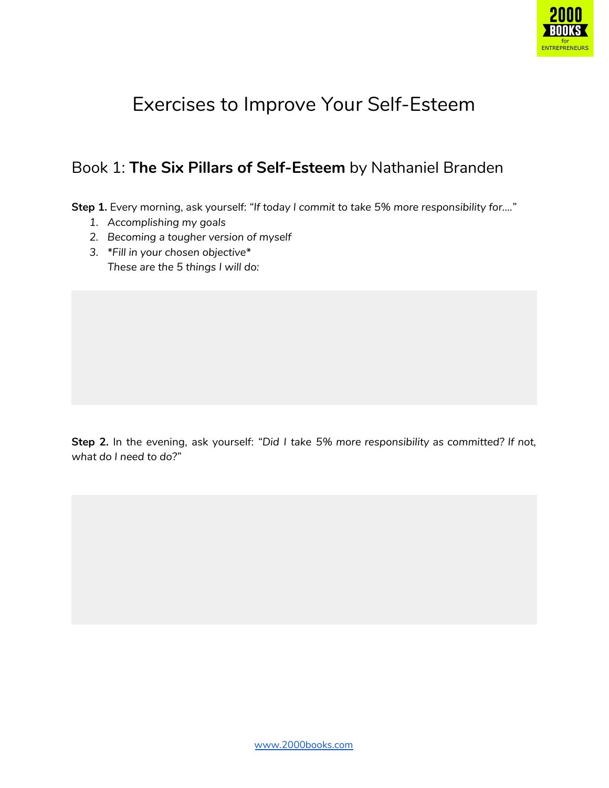

# Exercises to Improve Your Self-Esteem

### Book 1: **The Six Pillars of Self-Esteem** by Nathaniel Branden

**Step 1.** Every morning, ask yourself: *"If today I commit to take 5% more responsibility for…."*

- *1. Accomplishing my goals*
- *2. Becoming a tougher version of myself*
- *3. \*Fill in your chosen objective\* These are the 5 things I will do:*

**Step 2.** In the evening, ask yourself: *"Did I take 5% more responsibility as committed? If not, what do I need to do?"*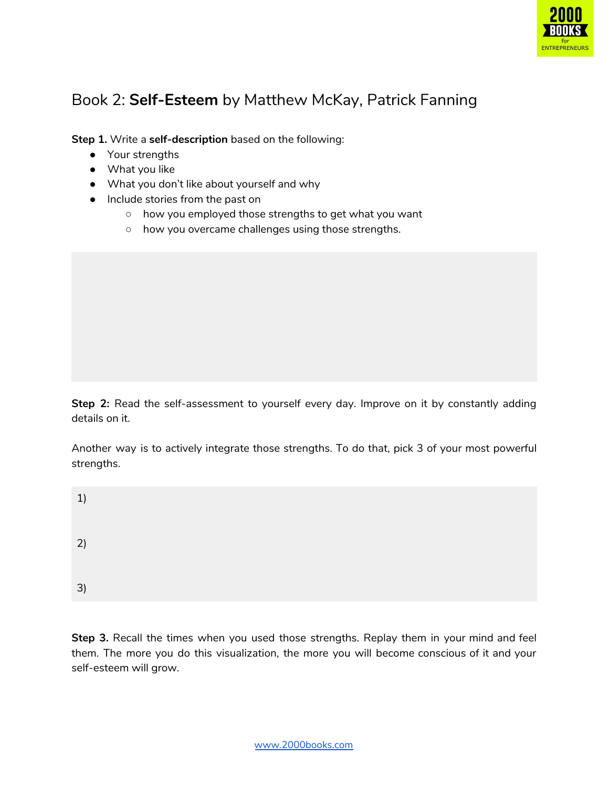

### Book 2: **Self-Esteem** by Matthew McKay, Patrick Fanning

**Step 1.** Write a **self-description** based on the following:

- Your strengths
- What you like
- What you don't like about yourself and why
- Include stories from the past on
	- how you employed those strengths to get what you want
	- how you overcame challenges using those strengths.

**Step 2:** Read the self-assessment to yourself every day. Improve on it by constantly adding details on it.

Another way is to actively integrate those strengths. To do that, pick 3 of your most powerful strengths.

| 1) |  |  |  |
|----|--|--|--|
| 2) |  |  |  |
| 3) |  |  |  |

**Step 3.** Recall the times when you used those strengths. Replay them in your mind and feel them. The more you do this visualization, the more you will become conscious of it and your self-esteem will grow.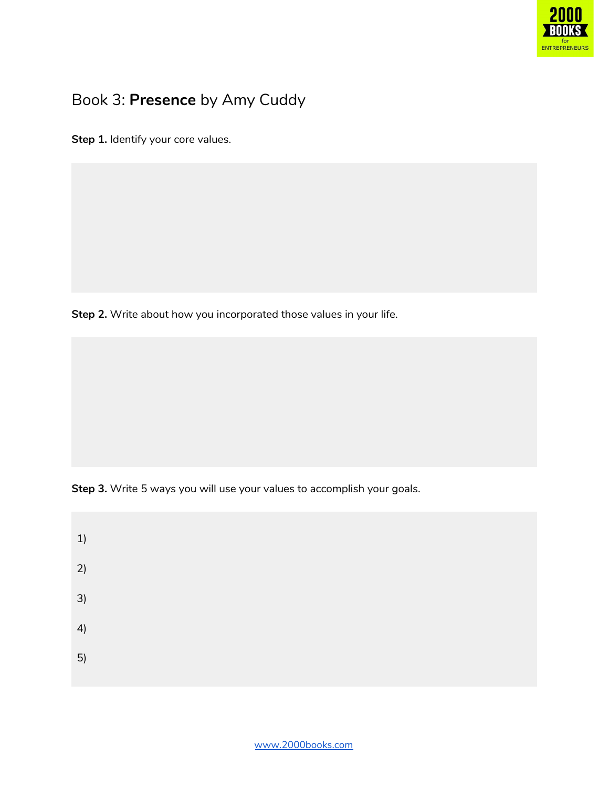

### Book 3: **Presence** by Amy Cuddy

**Step 1.** Identify your core values.

**Step 2.** Write about how you incorporated those values in your life.

**Step 3.** Write 5 ways you will use your values to accomplish your goals.

| 1) |  |  |  |
|----|--|--|--|
| 2) |  |  |  |
| 3) |  |  |  |
| 4) |  |  |  |
| 5) |  |  |  |
|    |  |  |  |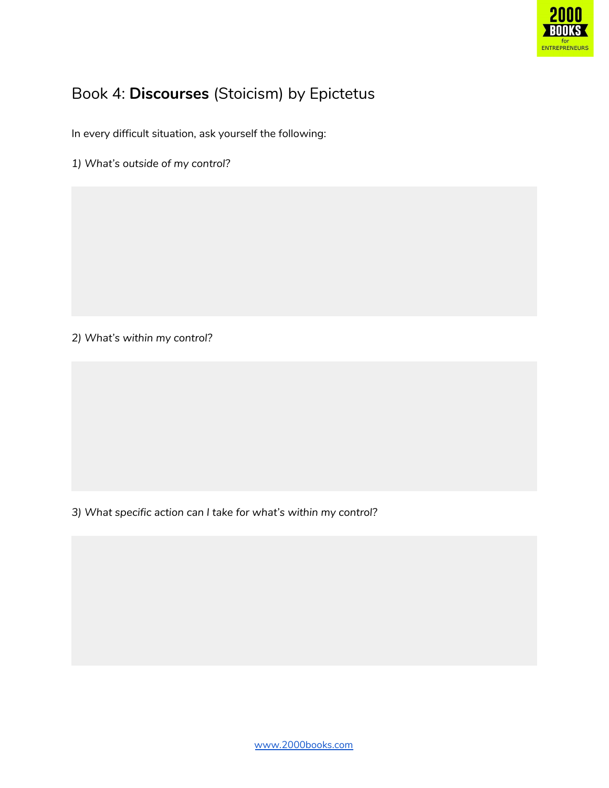

### Book 4: **Discourses** (Stoicism) by Epictetus

In every difficult situation, ask yourself the following:

*1) What's outside of my control?*

*2) What's within my control?*

*3) What specific action can I take for what's within my control?*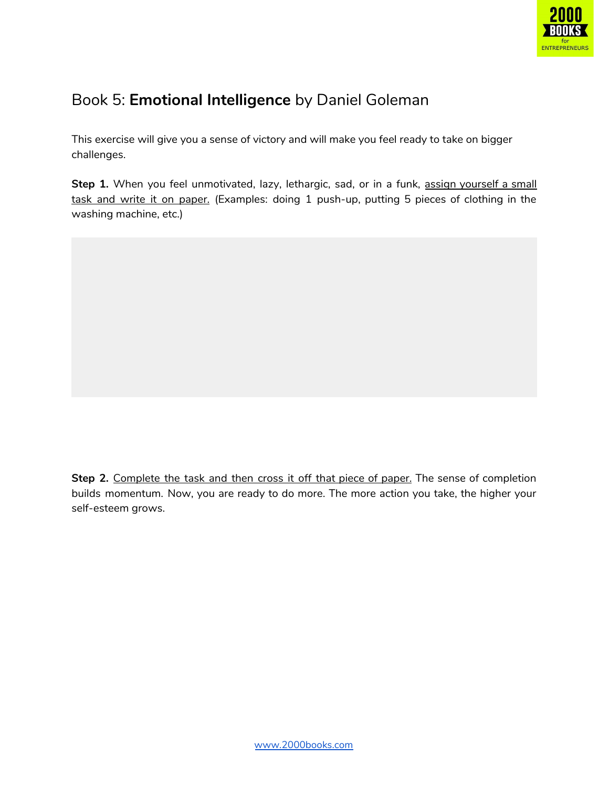

### Book 5: **Emotional Intelligence** by Daniel Goleman

This exercise will give you a sense of victory and will make you feel ready to take on bigger challenges.

Step 1. When you feel unmotivated, lazy, lethargic, sad, or in a funk, assign yourself a small task and write it on paper. (Examples: doing 1 push-up, putting 5 pieces of clothing in the washing machine, etc.)

**Step 2.** Complete the task and then cross it off that piece of paper. The sense of completion builds momentum. Now, you are ready to do more. The more action you take, the higher your self-esteem grows.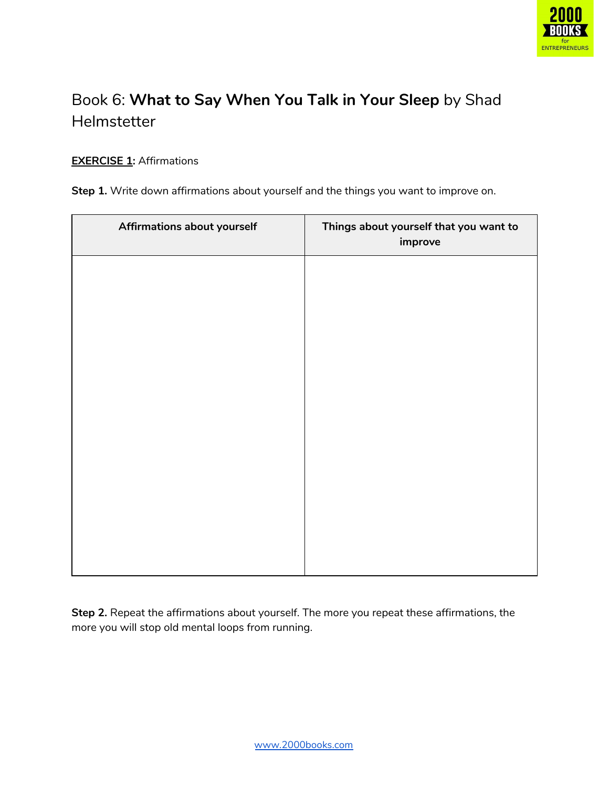

## Book 6: **What to Say When You Talk in Your Sleep** by Shad Helmstetter

#### **EXERCISE 1:** Affirmations

|  |  |  | Step 1. Write down affirmations about yourself and the things you want to improve on. |  |  |  |
|--|--|--|---------------------------------------------------------------------------------------|--|--|--|
|--|--|--|---------------------------------------------------------------------------------------|--|--|--|

| Affirmations about yourself | Things about yourself that you want to<br>improve |
|-----------------------------|---------------------------------------------------|
|                             |                                                   |
|                             |                                                   |
|                             |                                                   |
|                             |                                                   |
|                             |                                                   |
|                             |                                                   |
|                             |                                                   |
|                             |                                                   |

**Step 2.** Repeat the affirmations about yourself. The more you repeat these affirmations, the more you will stop old mental loops from running.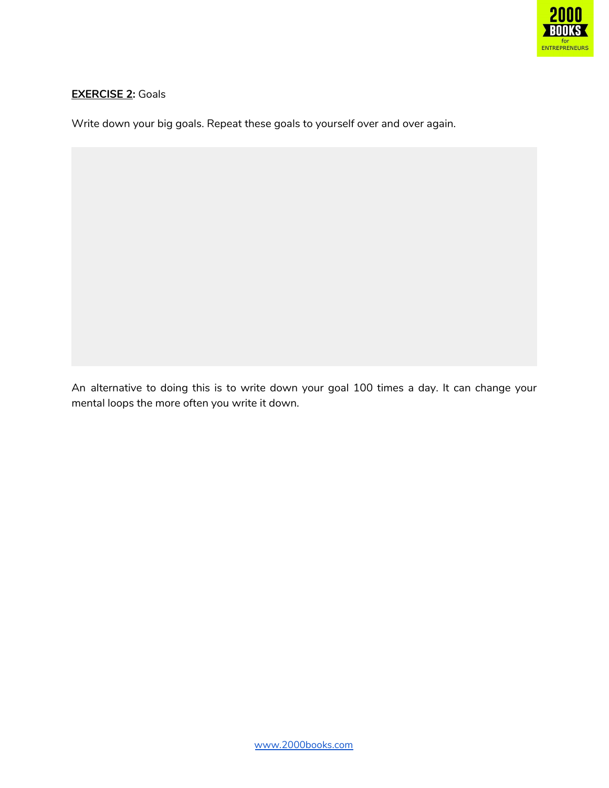

#### **EXERCISE 2:** Goals

Write down your big goals. Repeat these goals to yourself over and over again.

An alternative to doing this is to write down your goal 100 times a day. It can change your mental loops the more often you write it down.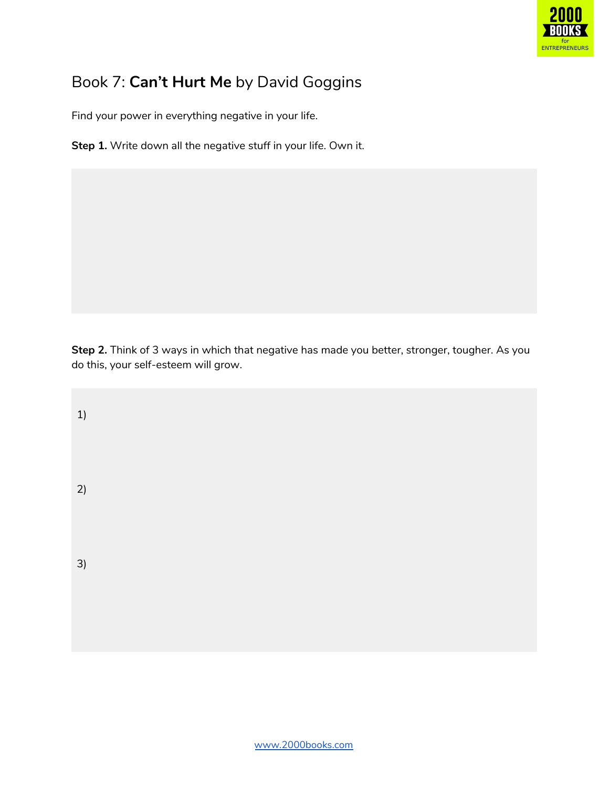

### Book 7: **Can't Hurt Me** by David Goggins

Find your power in everything negative in your life.

**Step 1.** Write down all the negative stuff in your life. Own it.

**Step 2.** Think of 3 ways in which that negative has made you better, stronger, tougher. As you do this, your self-esteem will grow.

2) 3)

1)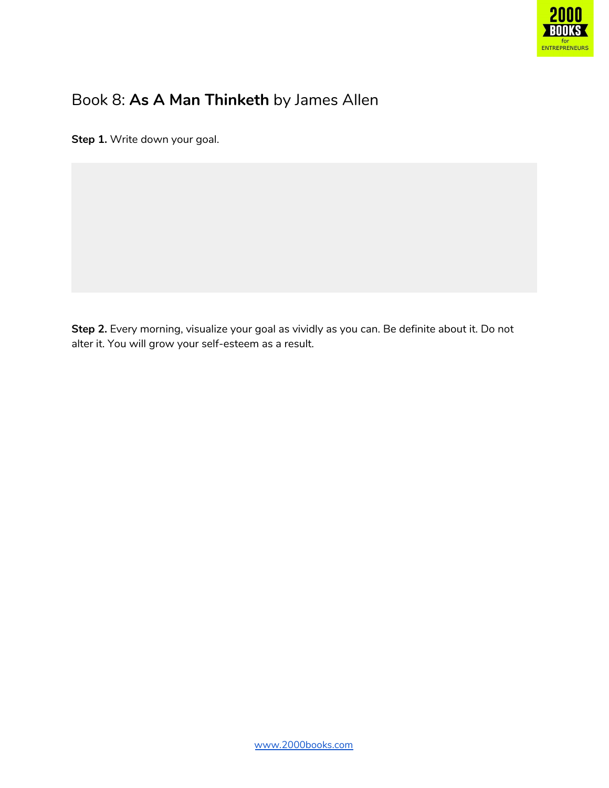

### Book 8: **As A Man Thinketh** by James Allen

**Step 1.** Write down your goal.

**Step 2.** Every morning, visualize your goal as vividly as you can. Be definite about it. Do not alter it. You will grow your self-esteem as a result.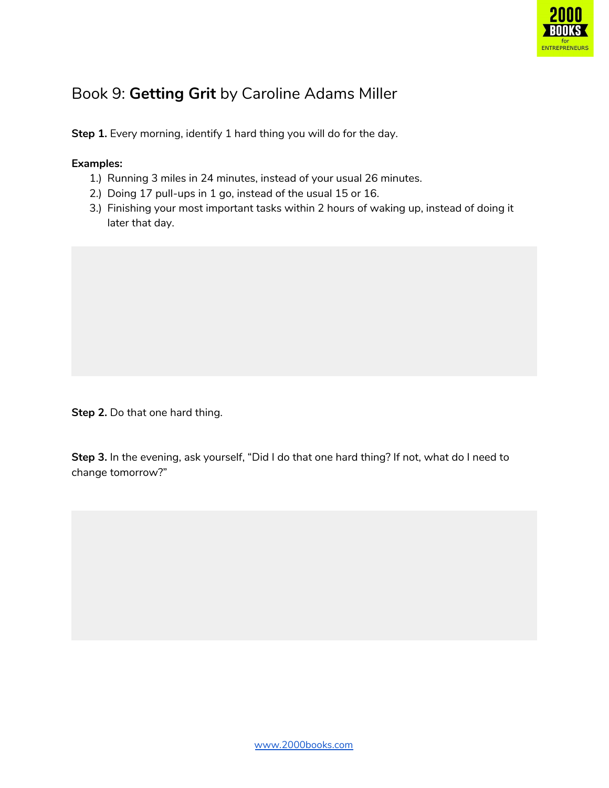

### Book 9: **Getting Grit** by Caroline Adams Miller

**Step 1.** Every morning, identify 1 hard thing you will do for the day.

#### **Examples:**

- 1.) Running 3 miles in 24 minutes, instead of your usual 26 minutes.
- 2.) Doing 17 pull-ups in 1 go, instead of the usual 15 or 16.
- 3.) Finishing your most important tasks within 2 hours of waking up, instead of doing it later that day.

**Step 2.** Do that one hard thing.

**Step 3.** In the evening, ask yourself, "Did I do that one hard thing? If not, what do I need to change tomorrow?"